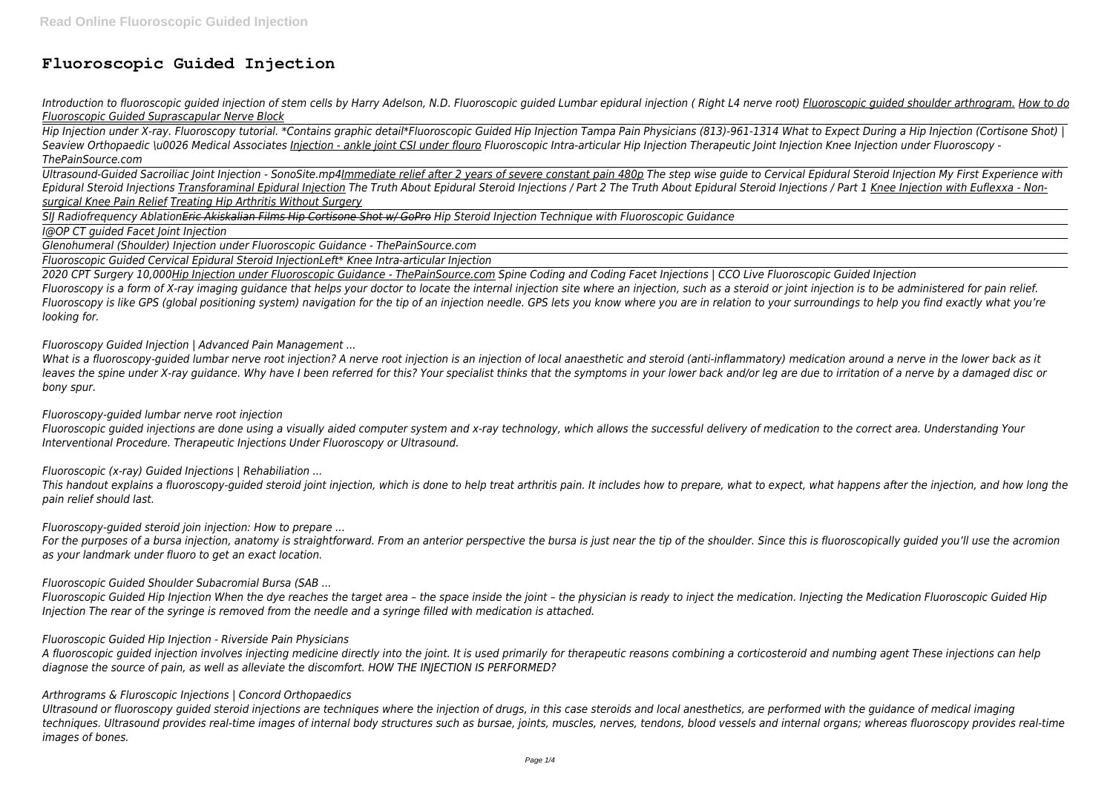# **Fluoroscopic Guided Injection**

Introduction to fluoroscopic guided injection of stem cells by Harry Adelson, N.D. Fluoroscopic guided Lumbar epidural injection (Right L4 nerve root) Fluoroscopic guided shoulder arthrogram. How to do *Fluoroscopic Guided Suprascapular Nerve Block*

*Hip Injection under X-ray. Fluoroscopy tutorial. \*Contains graphic detail\*Fluoroscopic Guided Hip Injection Tampa Pain Physicians (813)-961-1314 What to Expect During a Hip Injection (Cortisone Shot) | Seaview Orthopaedic \u0026 Medical Associates Injection - ankle joint CSI under flouro Fluoroscopic Intra-articular Hip Injection Therapeutic Joint Injection Knee Injection under Fluoroscopy - ThePainSource.com*

*Ultrasound-Guided Sacroiliac Joint Injection - SonoSite.mp4Immediate relief after 2 years of severe constant pain 480p The step wise guide to Cervical Epidural Steroid Injection My First Experience with* Epidural Steroid Injections Transforaminal Epidural Injection The Truth About Epidural Steroid Injectional Steroid Injections of Part 1 Knee Injection with Euflexxa - Non*surgical Knee Pain Relief Treating Hip Arthritis Without Surgery*

*SIJ Radiofrequency AblationEric Akiskalian Films Hip Cortisone Shot w/ GoPro Hip Steroid Injection Technique with Fluoroscopic Guidance*

*I@OP CT guided Facet Joint Injection*

*Glenohumeral (Shoulder) Injection under Fluoroscopic Guidance - ThePainSource.com*

*Fluoroscopic Guided Cervical Epidural Steroid InjectionLeft\* Knee Intra-articular Injection*

*2020 CPT Surgery 10,000Hip Injection under Fluoroscopic Guidance - ThePainSource.com Spine Coding and Coding Facet Injections | CCO Live Fluoroscopic Guided Injection Fluoroscopy is a form of X-ray imaging guidance that helps your doctor to locate the internal injection site where an injection, such as a steroid or joint injection is to be administered for pain relief. Fluoroscopy is like GPS (global positioning system) navigation for the tip of an injection needle. GPS lets you know where you are in relation to your surroundings to help you find exactly what you're looking for.*

*Fluoroscopy Guided Injection | Advanced Pain Management ...*

*What is a fluoroscopy-guided lumbar nerve root injection? A nerve root injection is an injection of local anaesthetic and steroid (anti-inflammatory) medication around a nerve in the lower back as it leaves the spine under X-ray guidance. Why have I been referred for this? Your specialist thinks that the symptoms in your lower back and/or leg are due to irritation of a nerve by a damaged disc or bony spur.*

*Fluoroscopy-guided lumbar nerve root injection*

*Fluoroscopic guided injections are done using a visually aided computer system and x-ray technology, which allows the successful delivery of medication to the correct area. Understanding Your Interventional Procedure. Therapeutic Injections Under Fluoroscopy or Ultrasound.*

*Fluoroscopic (x-ray) Guided Injections | Rehabiliation ...*

*This handout explains a fluoroscopy-guided steroid joint injection, which is done to help treat arthritis pain. It includes how to prepare, what to expect, what happens after the injection, and how long the pain relief should last.*

*Fluoroscopy-guided steroid join injection: How to prepare ...*

*For the purposes of a bursa injection, anatomy is straightforward. From an anterior perspective the bursa is just near the tip of the shoulder. Since this is fluoroscopically guided you'll use the acromion as your landmark under fluoro to get an exact location.*

*Fluoroscopic Guided Shoulder Subacromial Bursa (SAB ...*

*Fluoroscopic Guided Hip Injection When the dye reaches the target area – the space inside the joint – the physician is ready to inject the medication. Injecting the Medication Fluoroscopic Guided Hip Injection The rear of the syringe is removed from the needle and a syringe filled with medication is attached.*

### *Fluoroscopic Guided Hip Injection - Riverside Pain Physicians*

*A fluoroscopic guided injection involves injecting medicine directly into the joint. It is used primarily for therapeutic reasons combining a corticosteroid and numbing agent These injections can help diagnose the source of pain, as well as alleviate the discomfort. HOW THE INJECTION IS PERFORMED?*

*Arthrograms & Fluroscopic Injections | Concord Orthopaedics*

*Ultrasound or fluoroscopy guided steroid injections are techniques where the injection of drugs, in this case steroids and local anesthetics, are performed with the guidance of medical imaging techniques. Ultrasound provides real-time images of internal body structures such as bursae, joints, muscles, nerves, tendons, blood vessels and internal organs; whereas fluoroscopy provides real-time images of bones.*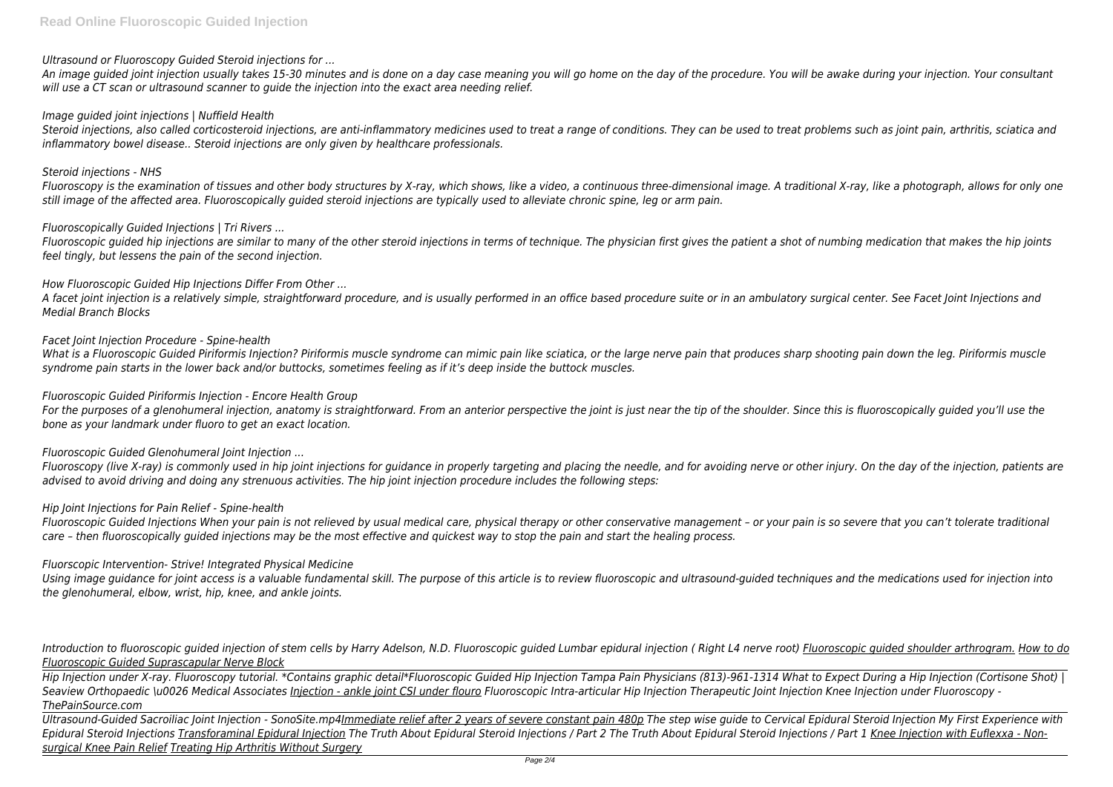# *Ultrasound or Fluoroscopy Guided Steroid injections for ...*

*An image guided joint injection usually takes 15-30 minutes and is done on a day case meaning you will go home on the day of the procedure. You will be awake during your injection. Your consultant will use a CT scan or ultrasound scanner to guide the injection into the exact area needing relief.*

### *Image guided joint injections | Nuffield Health*

*Steroid injections, also called corticosteroid injections, are anti-inflammatory medicines used to treat a range of conditions. They can be used to treat problems such as joint pain, arthritis, sciatica and inflammatory bowel disease.. Steroid injections are only given by healthcare professionals.*

### *Steroid injections - NHS*

*Fluoroscopy is the examination of tissues and other body structures by X-ray, which shows, like a video, a continuous three-dimensional image. A traditional X-ray, like a photograph, allows for only one still image of the affected area. Fluoroscopically guided steroid injections are typically used to alleviate chronic spine, leg or arm pain.*

### *Fluoroscopically Guided Injections | Tri Rivers ...*

For the purposes of a glenohumeral injection, anatomy is straightforward. From an anterior perspective the joint is just near the tip of the shoulder. Since this is fluoroscopically guided you'll use the *bone as your landmark under fluoro to get an exact location.*

*Fluoroscopic guided hip injections are similar to many of the other steroid injections in terms of technique. The physician first gives the patient a shot of numbing medication that makes the hip joints feel tingly, but lessens the pain of the second injection.*

### *How Fluoroscopic Guided Hip Injections Differ From Other ...*

*A facet joint injection is a relatively simple, straightforward procedure, and is usually performed in an office based procedure suite or in an ambulatory surgical center. See Facet Joint Injections and Medial Branch Blocks*

### *Facet Joint Injection Procedure - Spine-health*

Introduction to fluoroscopic quided injection of stem cells by Harry Adelson, N.D. Fluoroscopic quided Lumbar epidural injection (Right L4 nerve root) Fluoroscopic quided shoulder arthrogram. How to do *Fluoroscopic Guided Suprascapular Nerve Block*

*What is a Fluoroscopic Guided Piriformis Injection? Piriformis muscle syndrome can mimic pain like sciatica, or the large nerve pain that produces sharp shooting pain down the leg. Piriformis muscle syndrome pain starts in the lower back and/or buttocks, sometimes feeling as if it's deep inside the buttock muscles.*

### *Fluoroscopic Guided Piriformis Injection - Encore Health Group*

### *Fluoroscopic Guided Glenohumeral Joint Injection ...*

*Fluoroscopy (live X-ray) is commonly used in hip joint injections for guidance in properly targeting and placing the needle, and for avoiding nerve or other injury. On the day of the injection, patients are advised to avoid driving and doing any strenuous activities. The hip joint injection procedure includes the following steps:*

### *Hip Joint Injections for Pain Relief - Spine-health*

*Fluoroscopic Guided Injections When your pain is not relieved by usual medical care, physical therapy or other conservative management – or your pain is so severe that you can't tolerate traditional care – then fluoroscopically guided injections may be the most effective and quickest way to stop the pain and start the healing process.*

### *Fluorscopic Intervention- Strive! Integrated Physical Medicine*

*Using image guidance for joint access is a valuable fundamental skill. The purpose of this article is to review fluoroscopic and ultrasound-guided techniques and the medications used for injection into the glenohumeral, elbow, wrist, hip, knee, and ankle joints.*

*Hip Injection under X-ray. Fluoroscopy tutorial. \*Contains graphic detail\*Fluoroscopic Guided Hip Injection Tampa Pain Physicians (813)-961-1314 What to Expect During a Hip Injection (Cortisone Shot) | Seaview Orthopaedic \u0026 Medical Associates Injection - ankle joint CSI under flouro Fluoroscopic Intra-articular Hip Injection Therapeutic Joint Injection Knee Injection under Fluoroscopy - ThePainSource.com*

*Ultrasound-Guided Sacroiliac Joint Injection - SonoSite.mp4Immediate relief after 2 years of severe constant pain 480p The step wise guide to Cervical Epidural Steroid Injection My First Experience with* Epidural Steroid Injections Transforaminal Epidural Injection The Truth About Epidural Steroid Injections / Part 2 The Truth About Epidural Steroid Injections / Part 1 Knee Injection with Euflexxa - Non*surgical Knee Pain Relief Treating Hip Arthritis Without Surgery*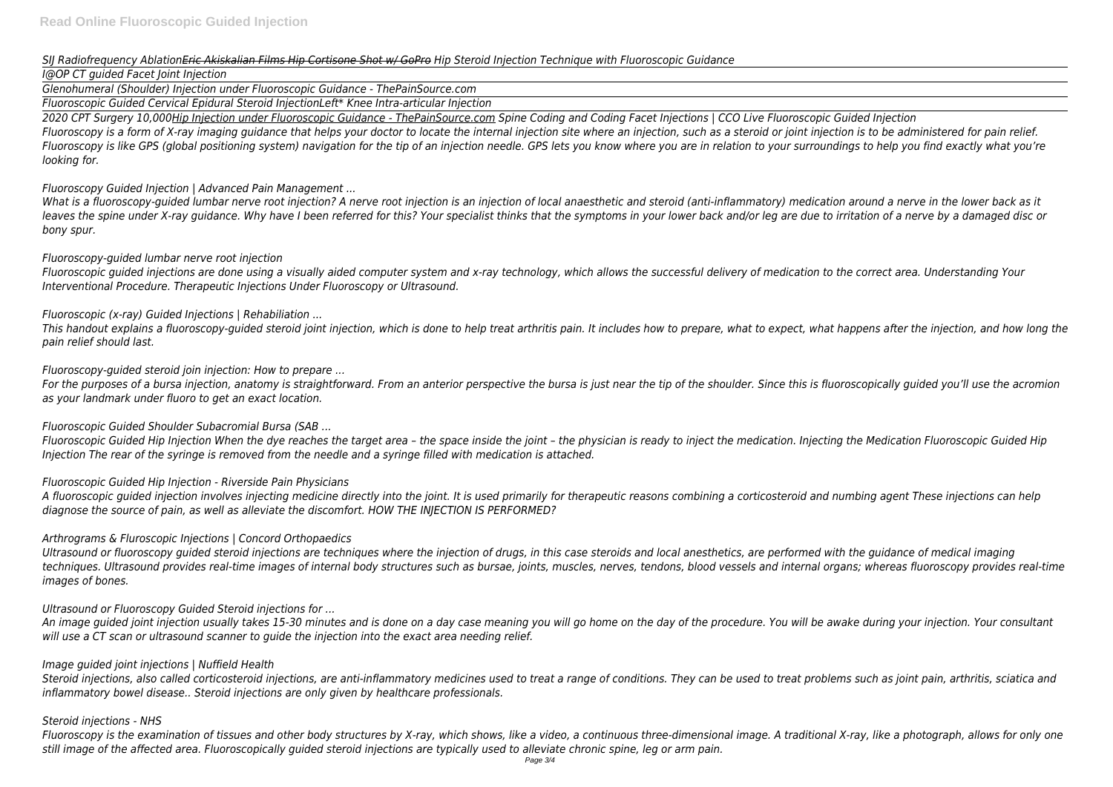### *SIJ Radiofrequency AblationEric Akiskalian Films Hip Cortisone Shot w/ GoPro Hip Steroid Injection Technique with Fluoroscopic Guidance*

# *I@OP CT guided Facet Joint Injection*

*Glenohumeral (Shoulder) Injection under Fluoroscopic Guidance - ThePainSource.com*

*Fluoroscopic Guided Cervical Epidural Steroid InjectionLeft\* Knee Intra-articular Injection*

*2020 CPT Surgery 10,000Hip Injection under Fluoroscopic Guidance - ThePainSource.com Spine Coding and Coding Facet Injections | CCO Live Fluoroscopic Guided Injection Fluoroscopy is a form of X-ray imaging guidance that helps your doctor to locate the internal injection site where an injection, such as a steroid or joint injection is to be administered for pain relief. Fluoroscopy is like GPS (global positioning system) navigation for the tip of an injection needle. GPS lets you know where you are in relation to your surroundings to help you find exactly what you're looking for.*

*Fluoroscopy Guided Injection | Advanced Pain Management ...*

*What is a fluoroscopy-guided lumbar nerve root injection? A nerve root injection is an injection of local anaesthetic and steroid (anti-inflammatory) medication around a nerve in the lower back as it leaves the spine under X-ray guidance. Why have I been referred for this? Your specialist thinks that the symptoms in your lower back and/or leg are due to irritation of a nerve by a damaged disc or bony spur.*

# *Fluoroscopy-guided lumbar nerve root injection*

*Fluoroscopic guided injections are done using a visually aided computer system and x-ray technology, which allows the successful delivery of medication to the correct area. Understanding Your Interventional Procedure. Therapeutic Injections Under Fluoroscopy or Ultrasound.*

# *Fluoroscopic (x-ray) Guided Injections | Rehabiliation ...*

*This handout explains a fluoroscopy-guided steroid joint injection, which is done to help treat arthritis pain. It includes how to prepare, what to expect, what happens after the injection, and how long the pain relief should last.*

# *Fluoroscopy-guided steroid join injection: How to prepare ...*

*For the purposes of a bursa injection, anatomy is straightforward. From an anterior perspective the bursa is just near the tip of the shoulder. Since this is fluoroscopically guided you'll use the acromion as your landmark under fluoro to get an exact location.*

# *Fluoroscopic Guided Shoulder Subacromial Bursa (SAB ...*

*Fluoroscopic Guided Hip Injection When the dye reaches the target area – the space inside the joint – the physician is ready to inject the medication. Injecting the Medication Fluoroscopic Guided Hip Injection The rear of the syringe is removed from the needle and a syringe filled with medication is attached.*

# *Fluoroscopic Guided Hip Injection - Riverside Pain Physicians*

*A fluoroscopic guided injection involves injecting medicine directly into the joint. It is used primarily for therapeutic reasons combining a corticosteroid and numbing agent These injections can help diagnose the source of pain, as well as alleviate the discomfort. HOW THE INJECTION IS PERFORMED?*

# *Arthrograms & Fluroscopic Injections | Concord Orthopaedics*

*Ultrasound or fluoroscopy guided steroid injections are techniques where the injection of drugs, in this case steroids and local anesthetics, are performed with the guidance of medical imaging techniques. Ultrasound provides real-time images of internal body structures such as bursae, joints, muscles, nerves, tendons, blood vessels and internal organs; whereas fluoroscopy provides real-time images of bones.*

# *Ultrasound or Fluoroscopy Guided Steroid injections for ...*

*An image guided joint injection usually takes 15-30 minutes and is done on a day case meaning you will go home on the day of the procedure. You will be awake during your injection. Your consultant will use a CT scan or ultrasound scanner to guide the injection into the exact area needing relief.*

# *Image guided joint injections | Nuffield Health*

*Steroid injections, also called corticosteroid injections, are anti-inflammatory medicines used to treat a range of conditions. They can be used to treat problems such as joint pain, arthritis, sciatica and inflammatory bowel disease.. Steroid injections are only given by healthcare professionals.*

# *Steroid injections - NHS*

*Fluoroscopy is the examination of tissues and other body structures by X-ray, which shows, like a video, a continuous three-dimensional image. A traditional X-ray, like a photograph, allows for only one still image of the affected area. Fluoroscopically guided steroid injections are typically used to alleviate chronic spine, leg or arm pain.*